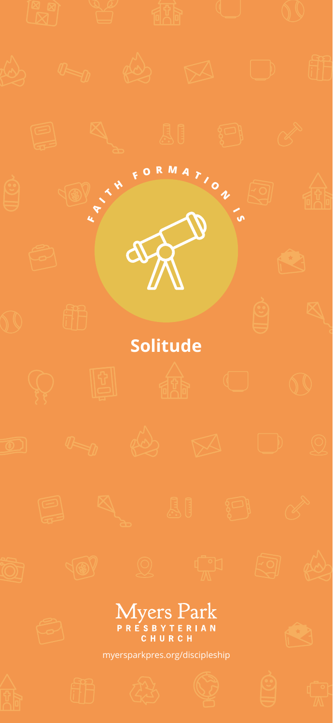